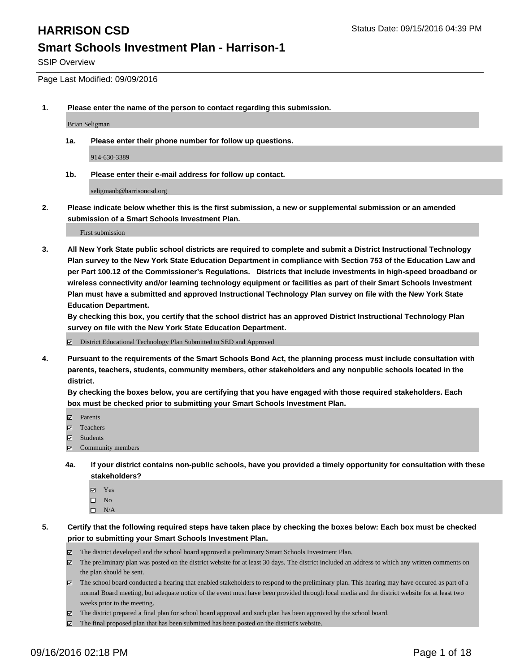SSIP Overview

Page Last Modified: 09/09/2016

**1. Please enter the name of the person to contact regarding this submission.**

Brian Seligman

**1a. Please enter their phone number for follow up questions.**

914-630-3389

**1b. Please enter their e-mail address for follow up contact.**

seligmanb@harrisoncsd.org

**2. Please indicate below whether this is the first submission, a new or supplemental submission or an amended submission of a Smart Schools Investment Plan.**

First submission

**3. All New York State public school districts are required to complete and submit a District Instructional Technology Plan survey to the New York State Education Department in compliance with Section 753 of the Education Law and per Part 100.12 of the Commissioner's Regulations. Districts that include investments in high-speed broadband or wireless connectivity and/or learning technology equipment or facilities as part of their Smart Schools Investment Plan must have a submitted and approved Instructional Technology Plan survey on file with the New York State Education Department.** 

**By checking this box, you certify that the school district has an approved District Instructional Technology Plan survey on file with the New York State Education Department.**

District Educational Technology Plan Submitted to SED and Approved

**4. Pursuant to the requirements of the Smart Schools Bond Act, the planning process must include consultation with parents, teachers, students, community members, other stakeholders and any nonpublic schools located in the district.** 

**By checking the boxes below, you are certifying that you have engaged with those required stakeholders. Each box must be checked prior to submitting your Smart Schools Investment Plan.**

- Parents
- Teachers
- **☑** Students
- $\boxtimes$  Community members
- **4a. If your district contains non-public schools, have you provided a timely opportunity for consultation with these stakeholders?**
	- Yes  $\square$  No
	- $\square$  N/A
- **5. Certify that the following required steps have taken place by checking the boxes below: Each box must be checked prior to submitting your Smart Schools Investment Plan.**
	- The district developed and the school board approved a preliminary Smart Schools Investment Plan.
	- The preliminary plan was posted on the district website for at least 30 days. The district included an address to which any written comments on the plan should be sent.
	- $\boxtimes$  The school board conducted a hearing that enabled stakeholders to respond to the preliminary plan. This hearing may have occured as part of a normal Board meeting, but adequate notice of the event must have been provided through local media and the district website for at least two weeks prior to the meeting.
	- The district prepared a final plan for school board approval and such plan has been approved by the school board.
	- The final proposed plan that has been submitted has been posted on the district's website.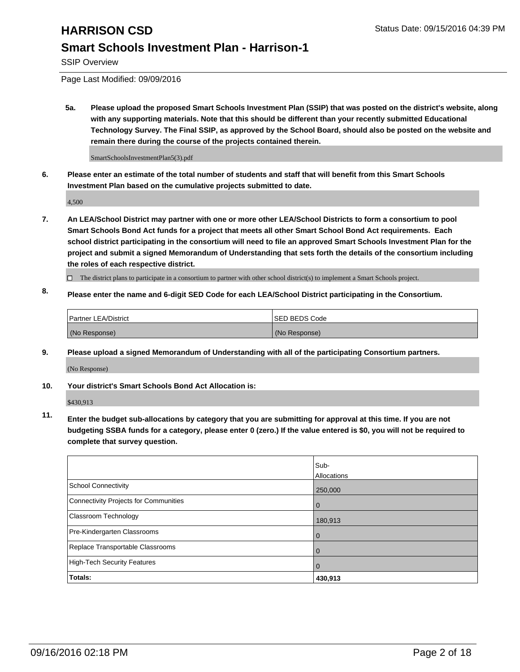SSIP Overview

Page Last Modified: 09/09/2016

**5a. Please upload the proposed Smart Schools Investment Plan (SSIP) that was posted on the district's website, along with any supporting materials. Note that this should be different than your recently submitted Educational Technology Survey. The Final SSIP, as approved by the School Board, should also be posted on the website and remain there during the course of the projects contained therein.**

SmartSchoolsInvestmentPlan5(3).pdf

**6. Please enter an estimate of the total number of students and staff that will benefit from this Smart Schools Investment Plan based on the cumulative projects submitted to date.**

4,500

- **7. An LEA/School District may partner with one or more other LEA/School Districts to form a consortium to pool Smart Schools Bond Act funds for a project that meets all other Smart School Bond Act requirements. Each school district participating in the consortium will need to file an approved Smart Schools Investment Plan for the project and submit a signed Memorandum of Understanding that sets forth the details of the consortium including the roles of each respective district.**
	- $\Box$  The district plans to participate in a consortium to partner with other school district(s) to implement a Smart Schools project.
- **8. Please enter the name and 6-digit SED Code for each LEA/School District participating in the Consortium.**

| Partner LEA/District | <b>ISED BEDS Code</b> |
|----------------------|-----------------------|
| (No Response)        | (No Response)         |

**9. Please upload a signed Memorandum of Understanding with all of the participating Consortium partners.**

(No Response)

#### **10. Your district's Smart Schools Bond Act Allocation is:**

\$430,913

**11. Enter the budget sub-allocations by category that you are submitting for approval at this time. If you are not budgeting SSBA funds for a category, please enter 0 (zero.) If the value entered is \$0, you will not be required to complete that survey question.**

|                                       | Sub-<br>Allocations |
|---------------------------------------|---------------------|
| <b>School Connectivity</b>            | 250,000             |
| Connectivity Projects for Communities | $\Omega$            |
| <b>Classroom Technology</b>           | 180,913             |
| Pre-Kindergarten Classrooms           | $\Omega$            |
| Replace Transportable Classrooms      | $\Omega$            |
| High-Tech Security Features           | $\Omega$            |
| Totals:                               | 430,913             |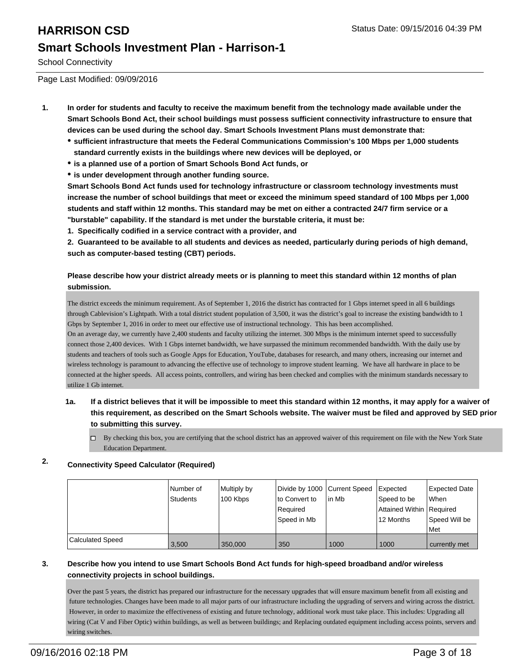School Connectivity

Page Last Modified: 09/09/2016

- **1. In order for students and faculty to receive the maximum benefit from the technology made available under the Smart Schools Bond Act, their school buildings must possess sufficient connectivity infrastructure to ensure that devices can be used during the school day. Smart Schools Investment Plans must demonstrate that:**
	- **sufficient infrastructure that meets the Federal Communications Commission's 100 Mbps per 1,000 students standard currently exists in the buildings where new devices will be deployed, or**
	- **is a planned use of a portion of Smart Schools Bond Act funds, or**
	- **is under development through another funding source.**

**Smart Schools Bond Act funds used for technology infrastructure or classroom technology investments must increase the number of school buildings that meet or exceed the minimum speed standard of 100 Mbps per 1,000 students and staff within 12 months. This standard may be met on either a contracted 24/7 firm service or a "burstable" capability. If the standard is met under the burstable criteria, it must be:**

**1. Specifically codified in a service contract with a provider, and**

**2. Guaranteed to be available to all students and devices as needed, particularly during periods of high demand, such as computer-based testing (CBT) periods.**

#### **Please describe how your district already meets or is planning to meet this standard within 12 months of plan submission.**

The district exceeds the minimum requirement. As of September 1, 2016 the district has contracted for 1 Gbps internet speed in all 6 buildings through Cablevision's Lightpath. With a total district student population of 3,500, it was the district's goal to increase the existing bandwidth to 1 Gbps by September 1, 2016 in order to meet our effective use of instructional technology. This has been accomplished.

On an average day, we currently have 2,400 students and faculty utilizing the internet. 300 Mbps is the minimum internet speed to successfully connect those 2,400 devices. With 1 Gbps internet bandwidth, we have surpassed the minimum recommended bandwidth. With the daily use by students and teachers of tools such as Google Apps for Education, YouTube, databases for research, and many others, increasing our internet and wireless technology is paramount to advancing the effective use of technology to improve student learning. We have all hardware in place to be connected at the higher speeds. All access points, controllers, and wiring has been checked and complies with the minimum standards necessary to utilize 1 Gb internet.

#### **1a. If a district believes that it will be impossible to meet this standard within 12 months, it may apply for a waiver of this requirement, as described on the Smart Schools website. The waiver must be filed and approved by SED prior to submitting this survey.**

 $\Box$  By checking this box, you are certifying that the school district has an approved waiver of this requirement on file with the New York State Education Department.

### **2. Connectivity Speed Calculator (Required)**

|                         | l Number of<br>Students | Multiply by<br>100 Kbps | Ito Convert to<br>Required<br>Speed in Mb | Divide by 1000 Current Speed   Expected<br>lin Mb | Speed to be<br>Attained Within Required<br>12 Months | <b>Expected Date</b><br><b>When</b><br>Speed Will be<br>l Met |
|-------------------------|-------------------------|-------------------------|-------------------------------------------|---------------------------------------------------|------------------------------------------------------|---------------------------------------------------------------|
| <b>Calculated Speed</b> | 3.500                   | 350,000                 | 350                                       | 1000                                              | 1000                                                 | currently met                                                 |

#### **3. Describe how you intend to use Smart Schools Bond Act funds for high-speed broadband and/or wireless connectivity projects in school buildings.**

Over the past 5 years, the district has prepared our infrastructure for the necessary upgrades that will ensure maximum benefit from all existing and future technologies. Changes have been made to all major parts of our infrastructure including the upgrading of servers and wiring across the district. However, in order to maximize the effectiveness of existing and future technology, additional work must take place. This includes: Upgrading all wiring (Cat V and Fiber Optic) within buildings, as well as between buildings; and Replacing outdated equipment including access points, servers and wiring switches.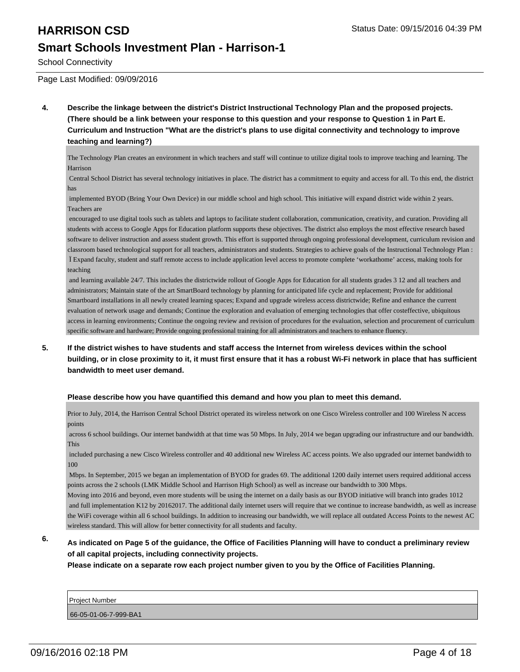# **HARRISON CSD** Status Date: 09/15/2016 04:39 PM

### **Smart Schools Investment Plan - Harrison-1**

School Connectivity

Page Last Modified: 09/09/2016

**4. Describe the linkage between the district's District Instructional Technology Plan and the proposed projects. (There should be a link between your response to this question and your response to Question 1 in Part E. Curriculum and Instruction "What are the district's plans to use digital connectivity and technology to improve teaching and learning?)**

The Technology Plan creates an environment in which teachers and staff will continue to utilize digital tools to improve teaching and learning. The Harrison

 Central School District has several technology initiatives in place. The district has a commitment to equity and access for all. To this end, the district has

 implemented BYOD (Bring Your Own Device) in our middle school and high school. This initiative will expand district wide within 2 years. Teachers are

 encouraged to use digital tools such as tablets and laptops to facilitate student collaboration, communication, creativity, and curation. Providing all students with access to Google Apps for Education platform supports these objectives. The district also employs the most effective research based software to deliver instruction and assess student growth. This effort is supported through ongoing professional development, curriculum revision and classroom based technological support for all teachers, administrators and students. Strategies to achieve goals of the Instructional Technology Plan : Ï Expand faculty, student and staff remote access to include application level access to promote complete 'workathome' access, making tools for teaching

 and learning available 24/7. This includes the districtwide rollout of Google Apps for Education for all students grades 3 12 and all teachers and administrators; Maintain state of the art SmartBoard technology by planning for anticipated life cycle and replacement; Provide for additional Smartboard installations in all newly created learning spaces; Expand and upgrade wireless access districtwide; Refine and enhance the current evaluation of network usage and demands; Continue the exploration and evaluation of emerging technologies that offer costeffective, ubiquitous access in learning environments; Continue the ongoing review and revision of procedures for the evaluation, selection and procurement of curriculum specific software and hardware; Provide ongoing professional training for all administrators and teachers to enhance fluency.

**5. If the district wishes to have students and staff access the Internet from wireless devices within the school building, or in close proximity to it, it must first ensure that it has a robust Wi-Fi network in place that has sufficient bandwidth to meet user demand.**

#### **Please describe how you have quantified this demand and how you plan to meet this demand.**

Prior to July, 2014, the Harrison Central School District operated its wireless network on one Cisco Wireless controller and 100 Wireless N access points

 across 6 school buildings. Our internet bandwidth at that time was 50 Mbps. In July, 2014 we began upgrading our infrastructure and our bandwidth. This

 included purchasing a new Cisco Wireless controller and 40 additional new Wireless AC access points. We also upgraded our internet bandwidth to 100

 Mbps. In September, 2015 we began an implementation of BYOD for grades 69. The additional 1200 daily internet users required additional access points across the 2 schools (LMK Middle School and Harrison High School) as well as increase our bandwidth to 300 Mbps.

Moving into 2016 and beyond, even more students will be using the internet on a daily basis as our BYOD initiative will branch into grades 1012 and full implementation K12 by 20162017. The additional daily internet users will require that we continue to increase bandwidth, as well as increase the WiFi coverage within all 6 school buildings. In addition to increasing our bandwidth, we will replace all outdated Access Points to the newest AC wireless standard. This will allow for better connectivity for all students and faculty.

#### **6. As indicated on Page 5 of the guidance, the Office of Facilities Planning will have to conduct a preliminary review of all capital projects, including connectivity projects.**

**Please indicate on a separate row each project number given to you by the Office of Facilities Planning.**

Project Number 66-05-01-06-7-999-BA1

09/16/2016 02:18 PM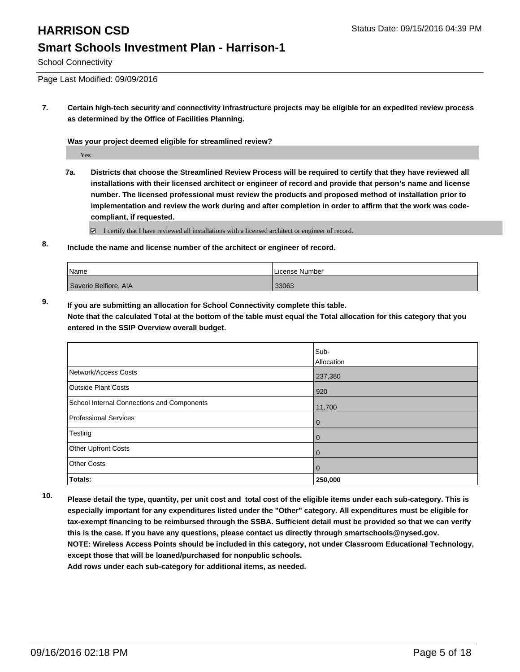School Connectivity

Page Last Modified: 09/09/2016

**7. Certain high-tech security and connectivity infrastructure projects may be eligible for an expedited review process as determined by the Office of Facilities Planning.**

**Was your project deemed eligible for streamlined review?**

Yes

**7a. Districts that choose the Streamlined Review Process will be required to certify that they have reviewed all installations with their licensed architect or engineer of record and provide that person's name and license number. The licensed professional must review the products and proposed method of installation prior to implementation and review the work during and after completion in order to affirm that the work was codecompliant, if requested.**

 $\boxtimes$  I certify that I have reviewed all installations with a licensed architect or engineer of record.

**8. Include the name and license number of the architect or engineer of record.**

| <i>Name</i>           | License Number |
|-----------------------|----------------|
| Saverio Belfiore, AIA | 33063          |

**9. If you are submitting an allocation for School Connectivity complete this table. Note that the calculated Total at the bottom of the table must equal the Total allocation for this category that you entered in the SSIP Overview overall budget.** 

|                                            | Sub-       |
|--------------------------------------------|------------|
|                                            | Allocation |
| Network/Access Costs                       | 237,380    |
| <b>Outside Plant Costs</b>                 | 920        |
| School Internal Connections and Components | 11,700     |
| Professional Services                      | l 0        |
| Testing                                    | l 0        |
| Other Upfront Costs                        | l 0        |
| <b>Other Costs</b>                         | l 0        |
| Totals:                                    | 250,000    |

**10. Please detail the type, quantity, per unit cost and total cost of the eligible items under each sub-category. This is especially important for any expenditures listed under the "Other" category. All expenditures must be eligible for tax-exempt financing to be reimbursed through the SSBA. Sufficient detail must be provided so that we can verify this is the case. If you have any questions, please contact us directly through smartschools@nysed.gov. NOTE: Wireless Access Points should be included in this category, not under Classroom Educational Technology, except those that will be loaned/purchased for nonpublic schools.**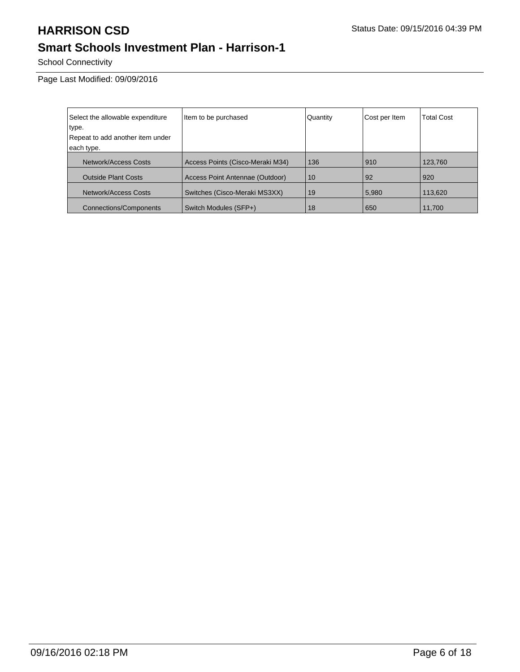School Connectivity

Page Last Modified: 09/09/2016

| Select the allowable expenditure | Item to be purchased             | Quantity | Cost per Item | <b>Total Cost</b> |
|----------------------------------|----------------------------------|----------|---------------|-------------------|
| type.                            |                                  |          |               |                   |
| Repeat to add another item under |                                  |          |               |                   |
| each type.                       |                                  |          |               |                   |
| Network/Access Costs             | Access Points (Cisco-Meraki M34) | 136      | 910           | 123,760           |
| <b>Outside Plant Costs</b>       | Access Point Antennae (Outdoor)  | 10       | 92            | 920               |
| Network/Access Costs             | Switches (Cisco-Meraki MS3XX)    | 19       | 5,980         | 113,620           |
| <b>Connections/Components</b>    | Switch Modules (SFP+)            | 18       | 650           | 11,700            |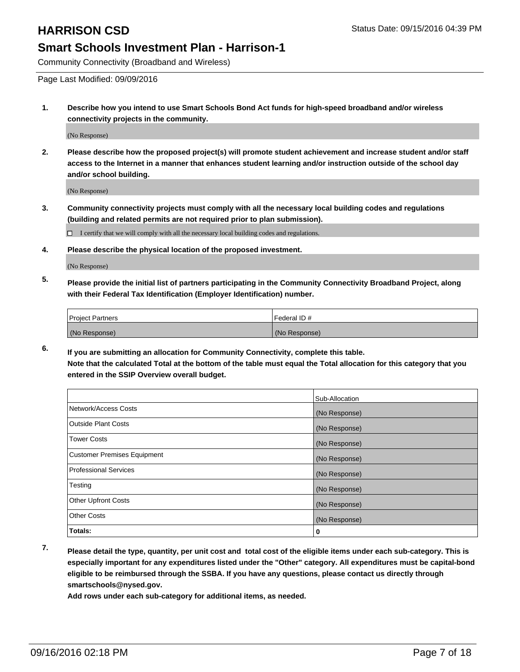Community Connectivity (Broadband and Wireless)

Page Last Modified: 09/09/2016

**1. Describe how you intend to use Smart Schools Bond Act funds for high-speed broadband and/or wireless connectivity projects in the community.**

(No Response)

**2. Please describe how the proposed project(s) will promote student achievement and increase student and/or staff access to the Internet in a manner that enhances student learning and/or instruction outside of the school day and/or school building.**

(No Response)

**3. Community connectivity projects must comply with all the necessary local building codes and regulations (building and related permits are not required prior to plan submission).**

 $\Box$  I certify that we will comply with all the necessary local building codes and regulations.

**4. Please describe the physical location of the proposed investment.**

(No Response)

**5. Please provide the initial list of partners participating in the Community Connectivity Broadband Project, along with their Federal Tax Identification (Employer Identification) number.**

| <b>Project Partners</b> | Federal ID#   |
|-------------------------|---------------|
| (No Response)           | (No Response) |

**6. If you are submitting an allocation for Community Connectivity, complete this table. Note that the calculated Total at the bottom of the table must equal the Total allocation for this category that you entered in the SSIP Overview overall budget.**

|                                    | Sub-Allocation |
|------------------------------------|----------------|
| Network/Access Costs               | (No Response)  |
| <b>Outside Plant Costs</b>         | (No Response)  |
| <b>Tower Costs</b>                 | (No Response)  |
| <b>Customer Premises Equipment</b> | (No Response)  |
| <b>Professional Services</b>       | (No Response)  |
| Testing                            | (No Response)  |
| <b>Other Upfront Costs</b>         | (No Response)  |
| <b>Other Costs</b>                 | (No Response)  |
| Totals:                            | 0              |

**7. Please detail the type, quantity, per unit cost and total cost of the eligible items under each sub-category. This is especially important for any expenditures listed under the "Other" category. All expenditures must be capital-bond eligible to be reimbursed through the SSBA. If you have any questions, please contact us directly through smartschools@nysed.gov.**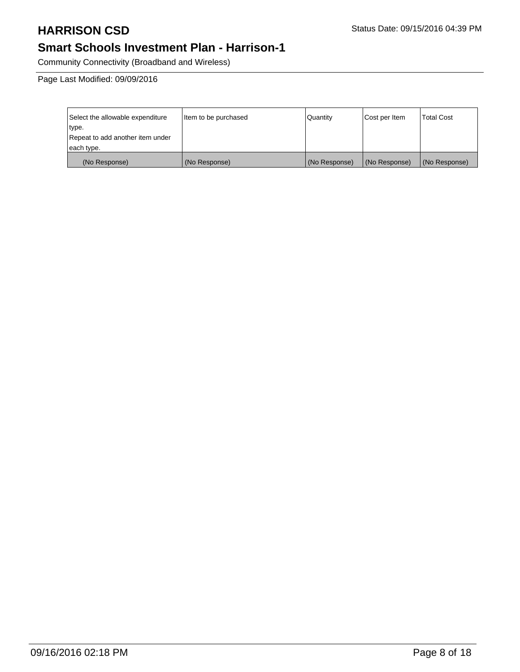Community Connectivity (Broadband and Wireless)

Page Last Modified: 09/09/2016

| Select the allowable expenditure | Item to be purchased | Quantity      | Cost per Item | <b>Total Cost</b> |
|----------------------------------|----------------------|---------------|---------------|-------------------|
| type.                            |                      |               |               |                   |
| Repeat to add another item under |                      |               |               |                   |
| each type.                       |                      |               |               |                   |
| (No Response)                    | (No Response)        | (No Response) | (No Response) | (No Response)     |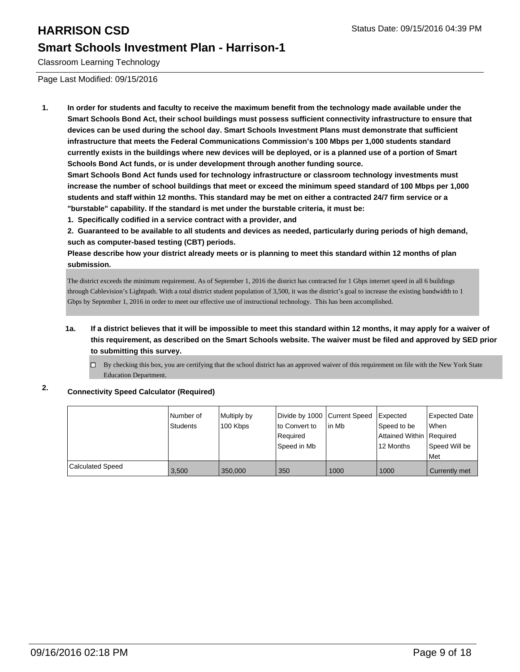Classroom Learning Technology

Page Last Modified: 09/15/2016

**1. In order for students and faculty to receive the maximum benefit from the technology made available under the Smart Schools Bond Act, their school buildings must possess sufficient connectivity infrastructure to ensure that devices can be used during the school day. Smart Schools Investment Plans must demonstrate that sufficient infrastructure that meets the Federal Communications Commission's 100 Mbps per 1,000 students standard currently exists in the buildings where new devices will be deployed, or is a planned use of a portion of Smart Schools Bond Act funds, or is under development through another funding source.**

**Smart Schools Bond Act funds used for technology infrastructure or classroom technology investments must increase the number of school buildings that meet or exceed the minimum speed standard of 100 Mbps per 1,000 students and staff within 12 months. This standard may be met on either a contracted 24/7 firm service or a "burstable" capability. If the standard is met under the burstable criteria, it must be:**

**1. Specifically codified in a service contract with a provider, and**

**2. Guaranteed to be available to all students and devices as needed, particularly during periods of high demand, such as computer-based testing (CBT) periods.**

**Please describe how your district already meets or is planning to meet this standard within 12 months of plan submission.**

The district exceeds the minimum requirement. As of September 1, 2016 the district has contracted for 1 Gbps internet speed in all 6 buildings through Cablevision's Lightpath. With a total district student population of 3,500, it was the district's goal to increase the existing bandwidth to 1 Gbps by September 1, 2016 in order to meet our effective use of instructional technology. This has been accomplished.

- **1a. If a district believes that it will be impossible to meet this standard within 12 months, it may apply for a waiver of this requirement, as described on the Smart Schools website. The waiver must be filed and approved by SED prior to submitting this survey.**
	- By checking this box, you are certifying that the school district has an approved waiver of this requirement on file with the New York State  $\Box$ Education Department.

### **2. Connectivity Speed Calculator (Required)**

|                         | INumber of<br>Students | Multiply by<br>100 Kbps | Divide by 1000 Current Speed<br>to Convert to<br>Required<br>Speed in Mb | lin Mb | <b>I</b> Expected<br>Speed to be<br>Attained Within Required<br>12 Months | Expected Date<br><b>When</b><br>Speed Will be<br>Met |
|-------------------------|------------------------|-------------------------|--------------------------------------------------------------------------|--------|---------------------------------------------------------------------------|------------------------------------------------------|
| <b>Calculated Speed</b> | 3,500                  | 350,000                 | 350                                                                      | 1000   | 1000                                                                      | Currently met                                        |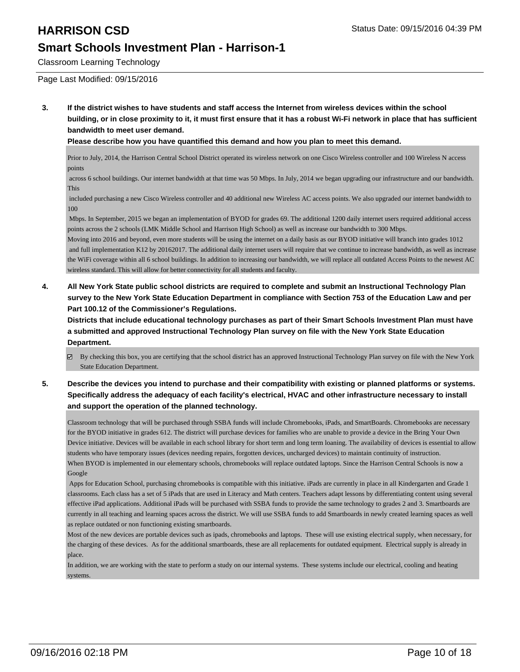Classroom Learning Technology

Page Last Modified: 09/15/2016

**3. If the district wishes to have students and staff access the Internet from wireless devices within the school building, or in close proximity to it, it must first ensure that it has a robust Wi-Fi network in place that has sufficient bandwidth to meet user demand.**

**Please describe how you have quantified this demand and how you plan to meet this demand.**

Prior to July, 2014, the Harrison Central School District operated its wireless network on one Cisco Wireless controller and 100 Wireless N access points

 across 6 school buildings. Our internet bandwidth at that time was 50 Mbps. In July, 2014 we began upgrading our infrastructure and our bandwidth. This

 included purchasing a new Cisco Wireless controller and 40 additional new Wireless AC access points. We also upgraded our internet bandwidth to 100

 Mbps. In September, 2015 we began an implementation of BYOD for grades 69. The additional 1200 daily internet users required additional access points across the 2 schools (LMK Middle School and Harrison High School) as well as increase our bandwidth to 300 Mbps.

Moving into 2016 and beyond, even more students will be using the internet on a daily basis as our BYOD initiative will branch into grades 1012 and full implementation K12 by 20162017. The additional daily internet users will require that we continue to increase bandwidth, as well as increase the WiFi coverage within all 6 school buildings. In addition to increasing our bandwidth, we will replace all outdated Access Points to the newest AC wireless standard. This will allow for better connectivity for all students and faculty.

**4. All New York State public school districts are required to complete and submit an Instructional Technology Plan survey to the New York State Education Department in compliance with Section 753 of the Education Law and per Part 100.12 of the Commissioner's Regulations.**

**Districts that include educational technology purchases as part of their Smart Schools Investment Plan must have a submitted and approved Instructional Technology Plan survey on file with the New York State Education Department.**

- By checking this box, you are certifying that the school district has an approved Instructional Technology Plan survey on file with the New York State Education Department.
- **5. Describe the devices you intend to purchase and their compatibility with existing or planned platforms or systems. Specifically address the adequacy of each facility's electrical, HVAC and other infrastructure necessary to install and support the operation of the planned technology.**

Classroom technology that will be purchased through SSBA funds will include Chromebooks, iPads, and SmartBoards. Chromebooks are necessary for the BYOD initiative in grades 612. The district will purchase devices for families who are unable to provide a device in the Bring Your Own Device initiative. Devices will be available in each school library for short term and long term loaning. The availability of devices is essential to allow students who have temporary issues (devices needing repairs, forgotten devices, uncharged devices) to maintain continuity of instruction. When BYOD is implemented in our elementary schools, chromebooks will replace outdated laptops. Since the Harrison Central Schools is now a Google

 Apps for Education School, purchasing chromebooks is compatible with this initiative. iPads are currently in place in all Kindergarten and Grade 1 classrooms. Each class has a set of 5 iPads that are used in Literacy and Math centers. Teachers adapt lessons by differentiating content using several effective iPad applications. Additional iPads will be purchased with SSBA funds to provide the same technology to grades 2 and 3. Smartboards are currently in all teaching and learning spaces across the district. We will use SSBA funds to add Smartboards in newly created learning spaces as well as replace outdated or non functioning existing smartboards.

Most of the new devices are portable devices such as ipads, chromebooks and laptops. These will use existing electrical supply, when necessary, for the charging of these devices. As for the additional smartboards, these are all replacements for outdated equipment. Electrical supply is already in place.

In addition, we are working with the state to perform a study on our internal systems. These systems include our electrical, cooling and heating systems.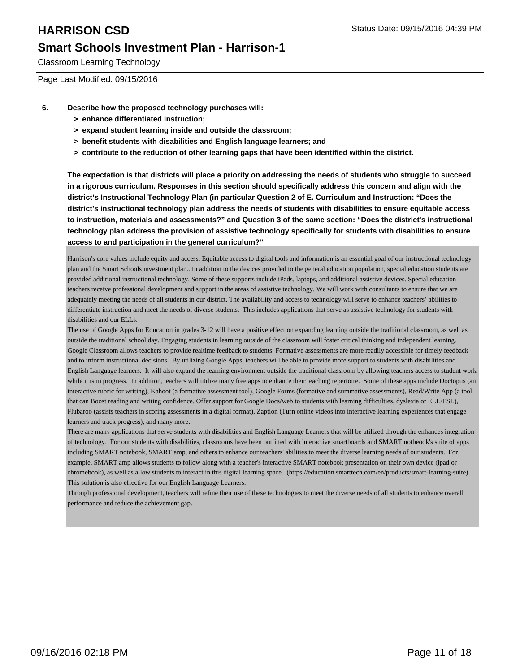Classroom Learning Technology

Page Last Modified: 09/15/2016

- **6. Describe how the proposed technology purchases will:**
	- **> enhance differentiated instruction;**
	- **> expand student learning inside and outside the classroom;**
	- **> benefit students with disabilities and English language learners; and**
	- **> contribute to the reduction of other learning gaps that have been identified within the district.**

**The expectation is that districts will place a priority on addressing the needs of students who struggle to succeed in a rigorous curriculum. Responses in this section should specifically address this concern and align with the district's Instructional Technology Plan (in particular Question 2 of E. Curriculum and Instruction: "Does the district's instructional technology plan address the needs of students with disabilities to ensure equitable access to instruction, materials and assessments?" and Question 3 of the same section: "Does the district's instructional technology plan address the provision of assistive technology specifically for students with disabilities to ensure access to and participation in the general curriculum?"**

Harrison's core values include equity and access. Equitable access to digital tools and information is an essential goal of our instructional technology plan and the Smart Schools investment plan.. In addition to the devices provided to the general education population, special education students are provided additional instructional technology. Some of these supports include iPads, laptops, and additional assistive devices. Special education teachers receive professional development and support in the areas of assistive technology. We will work with consultants to ensure that we are adequately meeting the needs of all students in our district. The availability and access to technology will serve to enhance teachers' abilities to differentiate instruction and meet the needs of diverse students. This includes applications that serve as assistive technology for students with disabilities and our ELLs.

The use of Google Apps for Education in grades 3-12 will have a positive effect on expanding learning outside the traditional classroom, as well as outside the traditional school day. Engaging students in learning outside of the classroom will foster critical thinking and independent learning. Google Classroom allows teachers to provide realtime feedback to students. Formative assessments are more readily accessible for timely feedback and to inform instructional decisions. By utilizing Google Apps, teachers will be able to provide more support to students with disabilities and English Language learners. It will also expand the learning environment outside the traditional classroom by allowing teachers access to student work while it is in progress. In addition, teachers will utilize many free apps to enhance their teaching repertoire. Some of these apps include Doctopus (an interactive rubric for writing), Kahoot (a formative assessment tool), Google Forms (formative and summative assessments), Read/Write App (a tool that can Boost reading and writing confidence. Offer support for Google Docs/web to students with learning difficulties, dyslexia or ELL/ESL), Flubaroo (assists teachers in scoring assessments in a digital format), Zaption (Turn online videos into interactive learning experiences that engage learners and track progress), and many more.

There are many applications that serve students with disabilities and English Language Learners that will be utilized through the enhances integration of technology. For our students with disabilities, classrooms have been outfitted with interactive smartboards and SMART notbeook's suite of apps including SMART notebook, SMART amp, and others to enhance our teachers' abilities to meet the diverse learning needs of our students. For example, SMART amp allows students to follow along with a teacher's interactive SMART notebook presentation on their own device (ipad or chromebook), as well as allow students to interact in this digital learning space. (https://education.smarttech.com/en/products/smart-learning-suite) This solution is also effective for our English Language Learners.

Through professional development, teachers will refine their use of these technologies to meet the diverse needs of all students to enhance overall performance and reduce the achievement gap.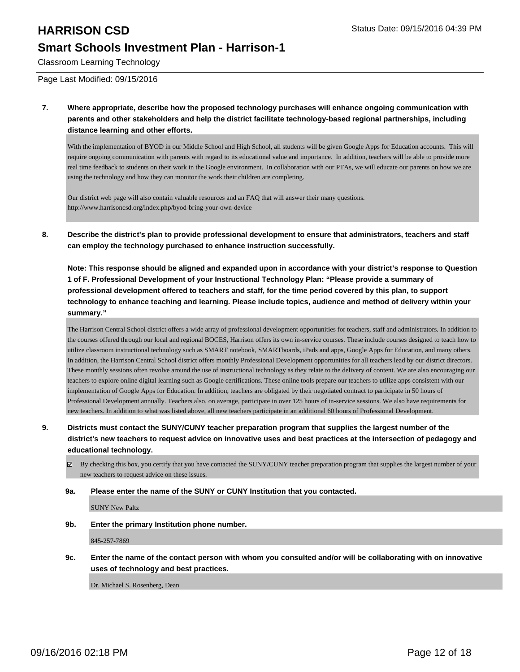Classroom Learning Technology

Page Last Modified: 09/15/2016

**7. Where appropriate, describe how the proposed technology purchases will enhance ongoing communication with parents and other stakeholders and help the district facilitate technology-based regional partnerships, including distance learning and other efforts.**

With the implementation of BYOD in our Middle School and High School, all students will be given Google Apps for Education accounts. This will require ongoing communication with parents with regard to its educational value and importance. In addition, teachers will be able to provide more real time feedback to students on their work in the Google environment. In collaboration with our PTAs, we will educate our parents on how we are using the technology and how they can monitor the work their children are completing.

Our district web page will also contain valuable resources and an FAQ that will answer their many questions. http://www.harrisoncsd.org/index.php/byod-bring-your-own-device

**8. Describe the district's plan to provide professional development to ensure that administrators, teachers and staff can employ the technology purchased to enhance instruction successfully.**

**Note: This response should be aligned and expanded upon in accordance with your district's response to Question 1 of F. Professional Development of your Instructional Technology Plan: "Please provide a summary of professional development offered to teachers and staff, for the time period covered by this plan, to support technology to enhance teaching and learning. Please include topics, audience and method of delivery within your summary."**

The Harrison Central School district offers a wide array of professional development opportunities for teachers, staff and administrators. In addition to the courses offered through our local and regional BOCES, Harrison offers its own in-service courses. These include courses designed to teach how to utilize classroom instructional technology such as SMART notebook, SMARTboards, iPads and apps, Google Apps for Education, and many others. In addition, the Harrison Central School district offers monthly Professional Development opportunities for all teachers lead by our district directors. These monthly sessions often revolve around the use of instructional technology as they relate to the delivery of content. We are also encouraging our teachers to explore online digital learning such as Google certifications. These online tools prepare our teachers to utilize apps consistent with our implementation of Google Apps for Education. In addition, teachers are obligated by their negotiated contract to participate in 50 hours of Professional Development annually. Teachers also, on average, participate in over 125 hours of in-service sessions. We also have requirements for new teachers. In addition to what was listed above, all new teachers participate in an additional 60 hours of Professional Development.

- **9. Districts must contact the SUNY/CUNY teacher preparation program that supplies the largest number of the district's new teachers to request advice on innovative uses and best practices at the intersection of pedagogy and educational technology.**
	- By checking this box, you certify that you have contacted the SUNY/CUNY teacher preparation program that supplies the largest number of your new teachers to request advice on these issues.
	- **9a. Please enter the name of the SUNY or CUNY Institution that you contacted.**

SUNY New Paltz

**9b. Enter the primary Institution phone number.**

845-257-7869

**9c. Enter the name of the contact person with whom you consulted and/or will be collaborating with on innovative uses of technology and best practices.**

Dr. Michael S. Rosenberg, Dean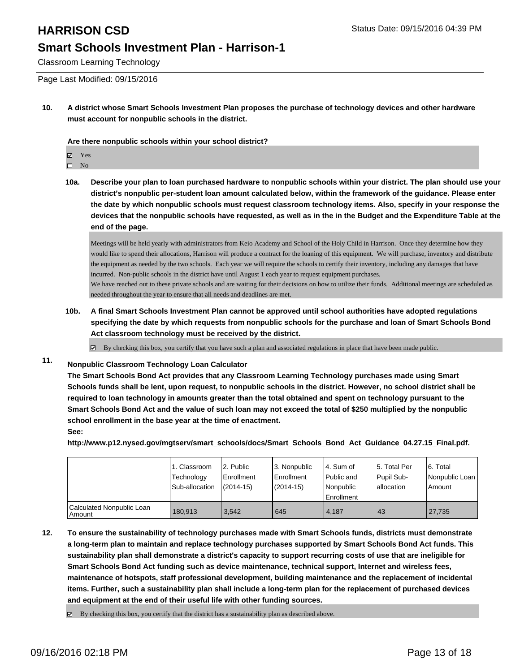Classroom Learning Technology

Page Last Modified: 09/15/2016

**10. A district whose Smart Schools Investment Plan proposes the purchase of technology devices and other hardware must account for nonpublic schools in the district.**

**Are there nonpublic schools within your school district?**

Yes

 $\hfill \square$  No

**10a. Describe your plan to loan purchased hardware to nonpublic schools within your district. The plan should use your district's nonpublic per-student loan amount calculated below, within the framework of the guidance. Please enter the date by which nonpublic schools must request classroom technology items. Also, specify in your response the devices that the nonpublic schools have requested, as well as in the in the Budget and the Expenditure Table at the end of the page.**

Meetings will be held yearly with administrators from Keio Academy and School of the Holy Child in Harrison. Once they determine how they would like to spend their allocations, Harrison will produce a contract for the loaning of this equipment. We will purchase, inventory and distribute the equipment as needed by the two schools. Each year we will require the schools to certify their inventory, including any damages that have incurred. Non-public schools in the district have until August 1 each year to request equipment purchases. We have reached out to these private schools and are waiting for their decisions on how to utilize their funds. Additional meetings are scheduled as needed throughout the year to ensure that all needs and deadlines are met.

**10b. A final Smart Schools Investment Plan cannot be approved until school authorities have adopted regulations specifying the date by which requests from nonpublic schools for the purchase and loan of Smart Schools Bond Act classroom technology must be received by the district.**

By checking this box, you certify that you have such a plan and associated regulations in place that have been made public. ☑

### **11. Nonpublic Classroom Technology Loan Calculator**

**The Smart Schools Bond Act provides that any Classroom Learning Technology purchases made using Smart Schools funds shall be lent, upon request, to nonpublic schools in the district. However, no school district shall be required to loan technology in amounts greater than the total obtained and spent on technology pursuant to the Smart Schools Bond Act and the value of such loan may not exceed the total of \$250 multiplied by the nonpublic school enrollment in the base year at the time of enactment. See:**

**http://www.p12.nysed.gov/mgtserv/smart\_schools/docs/Smart\_Schools\_Bond\_Act\_Guidance\_04.27.15\_Final.pdf.**

|                                       | <sub>1</sub> . Classroom<br>Technology<br>Sub-allocation | 2. Public<br>Enrollment<br>$(2014 - 15)$ | 3. Nonpublic<br>Enrollment<br>(2014-15) | l 4. Sum of<br>Public and<br>Nonpublic<br><b>Enrollment</b> | 15. Total Per<br>Pupil Sub-<br>allocation | 6. Total<br>Nonpublic Loan<br>Amount |
|---------------------------------------|----------------------------------------------------------|------------------------------------------|-----------------------------------------|-------------------------------------------------------------|-------------------------------------------|--------------------------------------|
| Calculated Nonpublic Loan<br>l Amount | 180.913                                                  | 3.542                                    | 645                                     | 4.187                                                       | 43                                        | 27,735                               |

**12. To ensure the sustainability of technology purchases made with Smart Schools funds, districts must demonstrate a long-term plan to maintain and replace technology purchases supported by Smart Schools Bond Act funds. This sustainability plan shall demonstrate a district's capacity to support recurring costs of use that are ineligible for Smart Schools Bond Act funding such as device maintenance, technical support, Internet and wireless fees, maintenance of hotspots, staff professional development, building maintenance and the replacement of incidental items. Further, such a sustainability plan shall include a long-term plan for the replacement of purchased devices and equipment at the end of their useful life with other funding sources.**

 $\boxtimes$  By checking this box, you certify that the district has a sustainability plan as described above.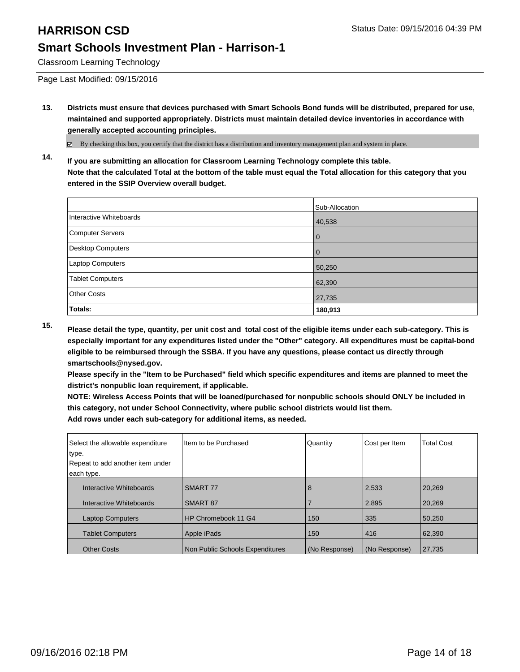Classroom Learning Technology

Page Last Modified: 09/15/2016

**13. Districts must ensure that devices purchased with Smart Schools Bond funds will be distributed, prepared for use, maintained and supported appropriately. Districts must maintain detailed device inventories in accordance with generally accepted accounting principles.**

By checking this box, you certify that the district has a distribution and inventory management plan and system in place.

**14. If you are submitting an allocation for Classroom Learning Technology complete this table. Note that the calculated Total at the bottom of the table must equal the Total allocation for this category that you entered in the SSIP Overview overall budget.**

|                          | Sub-Allocation |
|--------------------------|----------------|
| Interactive Whiteboards  | 40,538         |
| Computer Servers         | 0              |
| <b>Desktop Computers</b> | 0              |
| Laptop Computers         | 50,250         |
| <b>Tablet Computers</b>  | 62,390         |
| <b>Other Costs</b>       | 27,735         |
| Totals:                  | 180,913        |

**15. Please detail the type, quantity, per unit cost and total cost of the eligible items under each sub-category. This is especially important for any expenditures listed under the "Other" category. All expenditures must be capital-bond eligible to be reimbursed through the SSBA. If you have any questions, please contact us directly through smartschools@nysed.gov.**

**Please specify in the "Item to be Purchased" field which specific expenditures and items are planned to meet the district's nonpublic loan requirement, if applicable.**

**NOTE: Wireless Access Points that will be loaned/purchased for nonpublic schools should ONLY be included in this category, not under School Connectivity, where public school districts would list them. Add rows under each sub-category for additional items, as needed.**

Select the allowable expenditure type. Repeat to add another item under each type. Item to be Purchased **Quantity** Cost per Item Total Cost Interactive Whiteboards SMART 77 8 26,269 20,269 Interactive Whiteboards SMART 87 2,895 20,269 Laptop Computers | HP Chromebook 11 G4 | 150 | 335 | 50,250 Tablet Computers Apple iPads 150 416 82,390 Other Costs **Non Public Schools Expenditures** (No Response) (No Response) 27,735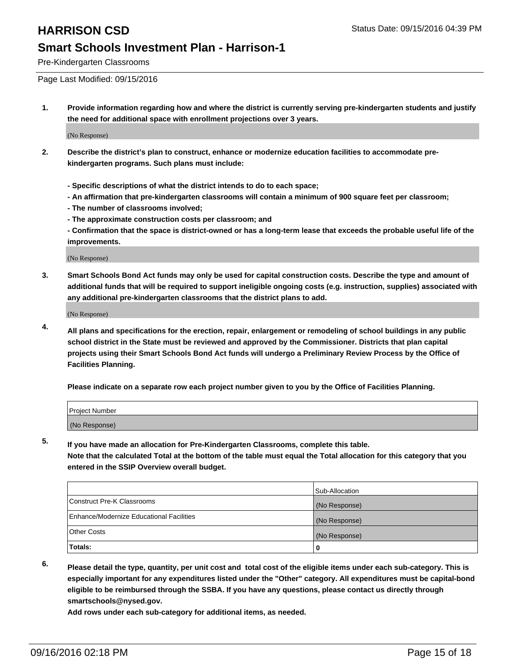Pre-Kindergarten Classrooms

Page Last Modified: 09/15/2016

**1. Provide information regarding how and where the district is currently serving pre-kindergarten students and justify the need for additional space with enrollment projections over 3 years.**

(No Response)

- **2. Describe the district's plan to construct, enhance or modernize education facilities to accommodate prekindergarten programs. Such plans must include:**
	- **Specific descriptions of what the district intends to do to each space;**
	- **An affirmation that pre-kindergarten classrooms will contain a minimum of 900 square feet per classroom;**
	- **The number of classrooms involved;**
	- **The approximate construction costs per classroom; and**
	- **Confirmation that the space is district-owned or has a long-term lease that exceeds the probable useful life of the improvements.**

(No Response)

**3. Smart Schools Bond Act funds may only be used for capital construction costs. Describe the type and amount of additional funds that will be required to support ineligible ongoing costs (e.g. instruction, supplies) associated with any additional pre-kindergarten classrooms that the district plans to add.**

(No Response)

**4. All plans and specifications for the erection, repair, enlargement or remodeling of school buildings in any public school district in the State must be reviewed and approved by the Commissioner. Districts that plan capital projects using their Smart Schools Bond Act funds will undergo a Preliminary Review Process by the Office of Facilities Planning.**

**Please indicate on a separate row each project number given to you by the Office of Facilities Planning.**

| Project Number |  |
|----------------|--|
| (No Response)  |  |

**5. If you have made an allocation for Pre-Kindergarten Classrooms, complete this table.**

**Note that the calculated Total at the bottom of the table must equal the Total allocation for this category that you entered in the SSIP Overview overall budget.**

|                                          | Sub-Allocation |
|------------------------------------------|----------------|
| Construct Pre-K Classrooms               | (No Response)  |
| Enhance/Modernize Educational Facilities | (No Response)  |
| Other Costs                              | (No Response)  |
| Totals:                                  |                |

**6. Please detail the type, quantity, per unit cost and total cost of the eligible items under each sub-category. This is especially important for any expenditures listed under the "Other" category. All expenditures must be capital-bond eligible to be reimbursed through the SSBA. If you have any questions, please contact us directly through smartschools@nysed.gov.**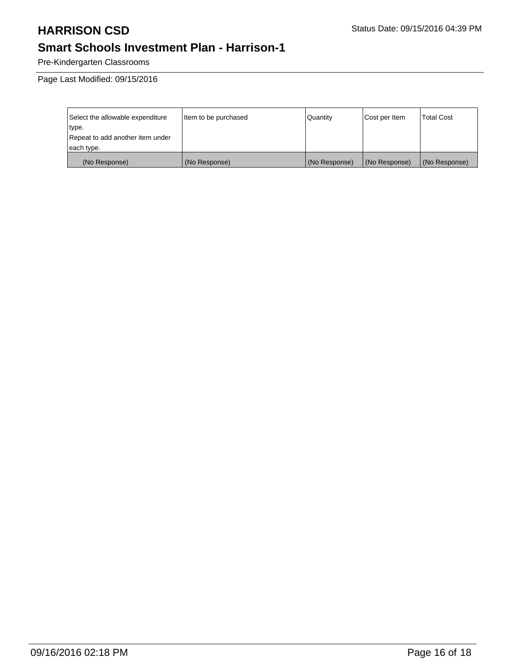Pre-Kindergarten Classrooms

Page Last Modified: 09/15/2016

| Select the allowable expenditure | Item to be purchased | Quantity      | Cost per Item | <b>Total Cost</b> |
|----------------------------------|----------------------|---------------|---------------|-------------------|
| type.                            |                      |               |               |                   |
| Repeat to add another item under |                      |               |               |                   |
| each type.                       |                      |               |               |                   |
| (No Response)                    | (No Response)        | (No Response) | (No Response) | (No Response)     |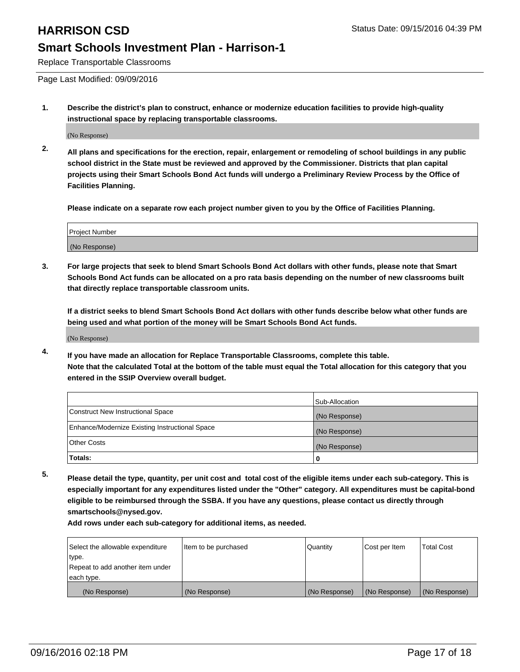Replace Transportable Classrooms

Page Last Modified: 09/09/2016

**1. Describe the district's plan to construct, enhance or modernize education facilities to provide high-quality instructional space by replacing transportable classrooms.**

(No Response)

**2. All plans and specifications for the erection, repair, enlargement or remodeling of school buildings in any public school district in the State must be reviewed and approved by the Commissioner. Districts that plan capital projects using their Smart Schools Bond Act funds will undergo a Preliminary Review Process by the Office of Facilities Planning.**

**Please indicate on a separate row each project number given to you by the Office of Facilities Planning.**

| Project Number |  |
|----------------|--|
| (No Response)  |  |

**3. For large projects that seek to blend Smart Schools Bond Act dollars with other funds, please note that Smart Schools Bond Act funds can be allocated on a pro rata basis depending on the number of new classrooms built that directly replace transportable classroom units.**

**If a district seeks to blend Smart Schools Bond Act dollars with other funds describe below what other funds are being used and what portion of the money will be Smart Schools Bond Act funds.**

(No Response)

**4. If you have made an allocation for Replace Transportable Classrooms, complete this table. Note that the calculated Total at the bottom of the table must equal the Total allocation for this category that you entered in the SSIP Overview overall budget.**

|                                                | Sub-Allocation |
|------------------------------------------------|----------------|
| Construct New Instructional Space              | (No Response)  |
| Enhance/Modernize Existing Instructional Space | (No Response)  |
| Other Costs                                    | (No Response)  |
| Totals:                                        | o              |

**5. Please detail the type, quantity, per unit cost and total cost of the eligible items under each sub-category. This is especially important for any expenditures listed under the "Other" category. All expenditures must be capital-bond eligible to be reimbursed through the SSBA. If you have any questions, please contact us directly through smartschools@nysed.gov.**

| Select the allowable expenditure | Item to be purchased | Quantity      | Cost per Item | Total Cost    |
|----------------------------------|----------------------|---------------|---------------|---------------|
| type.                            |                      |               |               |               |
| Repeat to add another item under |                      |               |               |               |
| each type.                       |                      |               |               |               |
| (No Response)                    | (No Response)        | (No Response) | (No Response) | (No Response) |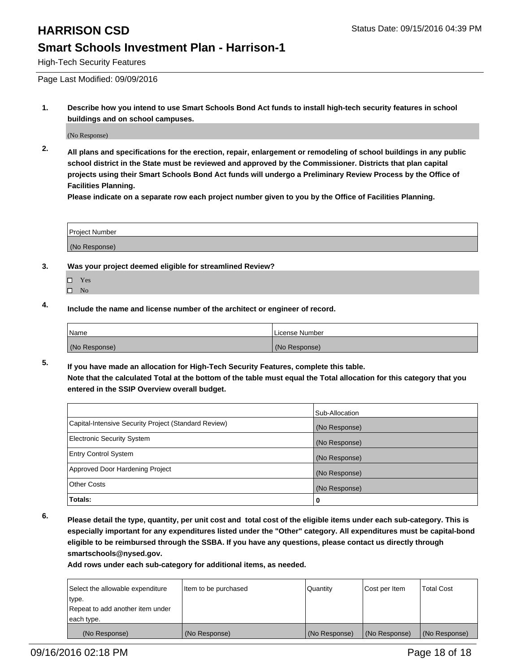High-Tech Security Features

Page Last Modified: 09/09/2016

**1. Describe how you intend to use Smart Schools Bond Act funds to install high-tech security features in school buildings and on school campuses.**

(No Response)

**2. All plans and specifications for the erection, repair, enlargement or remodeling of school buildings in any public school district in the State must be reviewed and approved by the Commissioner. Districts that plan capital projects using their Smart Schools Bond Act funds will undergo a Preliminary Review Process by the Office of Facilities Planning.** 

**Please indicate on a separate row each project number given to you by the Office of Facilities Planning.**

| <b>Project Number</b> |  |
|-----------------------|--|
| (No Response)         |  |

- **3. Was your project deemed eligible for streamlined Review?**
	- □ Yes
	- $\square$  No
- **4. Include the name and license number of the architect or engineer of record.**

| <b>Name</b>   | License Number |
|---------------|----------------|
| (No Response) | (No Response)  |

**5. If you have made an allocation for High-Tech Security Features, complete this table. Note that the calculated Total at the bottom of the table must equal the Total allocation for this category that you entered in the SSIP Overview overall budget.**

|                                                      | Sub-Allocation |
|------------------------------------------------------|----------------|
| Capital-Intensive Security Project (Standard Review) | (No Response)  |
| <b>Electronic Security System</b>                    | (No Response)  |
| <b>Entry Control System</b>                          | (No Response)  |
| Approved Door Hardening Project                      | (No Response)  |
| <b>Other Costs</b>                                   | (No Response)  |
| Totals:                                              | 0              |

**6. Please detail the type, quantity, per unit cost and total cost of the eligible items under each sub-category. This is especially important for any expenditures listed under the "Other" category. All expenditures must be capital-bond eligible to be reimbursed through the SSBA. If you have any questions, please contact us directly through smartschools@nysed.gov.**

| Select the allowable expenditure | Item to be purchased | Quantity      | Cost per Item | <b>Total Cost</b> |
|----------------------------------|----------------------|---------------|---------------|-------------------|
| type.                            |                      |               |               |                   |
| Repeat to add another item under |                      |               |               |                   |
| each type.                       |                      |               |               |                   |
| (No Response)                    | (No Response)        | (No Response) | (No Response) | (No Response)     |